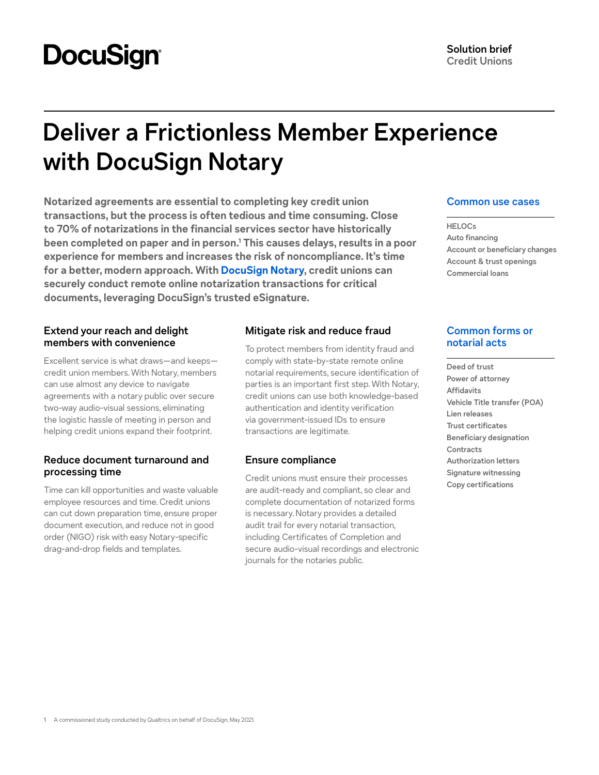# **DocuSign®**

## **Deliver a Frictionless Member Experience with DocuSign Notary**

**Notarized agreements are essential to completing key credit union transactions, but the process is often tedious and time consuming. Close to 70% of notarizations in the financial services sector have historically been completed on paper and in person.1 This causes delays, results in a poor experience for members and increases the risk of noncompliance. It's time for a better, modern approach. With [DocuSign Notary](https://www.docusign.com/products/notary), credit unions can securely conduct remote online notarization transactions for critical documents, leveraging DocuSign's trusted eSignature.**

#### **Extend your reach and delight members with convenience**

Excellent service is what draws—and keeps credit union members. With Notary, members can use almost any device to navigate agreements with a notary public over secure two-way audio-visual sessions, eliminating the logistic hassle of meeting in person and helping credit unions expand their footprint.

#### **Reduce document turnaround and processing time**

Time can kill opportunities and waste valuable employee resources and time. Credit unions can cut down preparation time, ensure proper document execution, and reduce not in good order (NIGO) risk with easy Notary-specific drag-and-drop fields and templates.

### **Mitigate risk and reduce fraud**

To protect members from identity fraud and comply with state-by-state remote online notarial requirements, secure identification of parties is an important first step. With Notary, credit unions can use both knowledge-based authentication and identity verification via government-issued IDs to ensure transactions are legitimate.

#### **Ensure compliance**

Credit unions must ensure their processes are audit-ready and compliant, so clear and complete documentation of notarized forms is necessary. Notary provides a detailed audit trail for every notarial transaction, including Certificates of Completion and secure audio-visual recordings and electronic journals for the notaries public.

#### **Common use cases**

**HELOCs Auto financing Account or beneficiary changes Account & trust openings Commercial loans**

#### **Common forms or notarial acts**

**Deed of trust Power of attorney Affidavits Vehicle Title transfer (POA) Lien releases Trust certificates Beneficiary designation Contracts Authorization letters Signature witnessing Copy certifications**